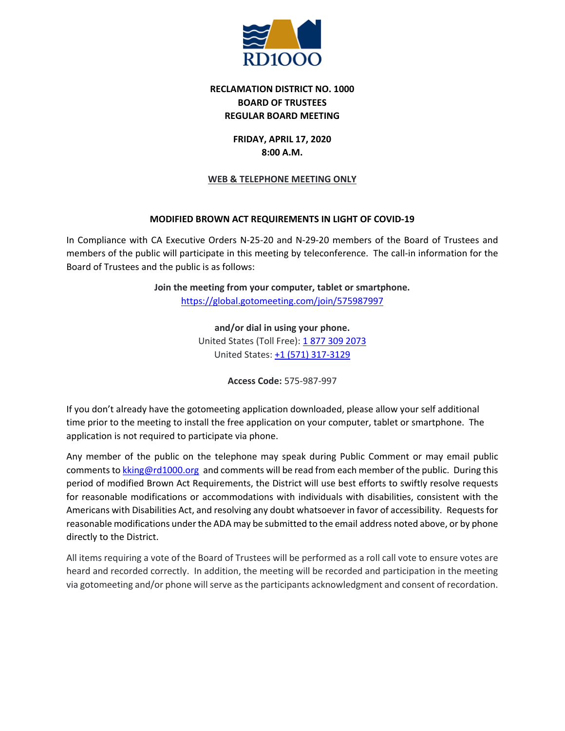

# **RECLAMATION DISTRICT NO. 1000 BOARD OF TRUSTEES REGULAR BOARD MEETING**

## **FRIDAY, APRIL 17, 2020 8:00 A.M.**

## **WEB & TELEPHONE MEETING ONLY**

## **MODIFIED BROWN ACT REQUIREMENTS IN LIGHT OF COVID-19**

In Compliance with CA Executive Orders N-25-20 and N-29-20 members of the Board of Trustees and members of the public will participate in this meeting by teleconference. The call-in information for the Board of Trustees and the public is as follows:

> **Join the meeting from your computer, tablet or smartphone.** <https://global.gotomeeting.com/join/575987997>

> > **and/or dial in using your phone.** United States (Toll Free): [1 877 309 2073](tel:+18773092073,,575987997) United States: [+1 \(571\) 317-3129](tel:+15713173129,,575987997)

> > > **Access Code:** 575-987-997

If you don't already have the gotomeeting application downloaded, please allow your self additional time prior to the meeting to install the free application on your computer, tablet or smartphone. The application is not required to participate via phone.

Any member of the public on the telephone may speak during Public Comment or may email public comments to [kking@rd1000.org](mailto:kking@rd1000.org) and comments will be read from each member of the public. During this period of modified Brown Act Requirements, the District will use best efforts to swiftly resolve requests for reasonable modifications or accommodations with individuals with disabilities, consistent with the Americans with Disabilities Act, and resolving any doubt whatsoever in favor of accessibility. Requests for reasonable modifications under the ADA may be submitted to the email address noted above, or by phone directly to the District.

All items requiring a vote of the Board of Trustees will be performed as a roll call vote to ensure votes are heard and recorded correctly. In addition, the meeting will be recorded and participation in the meeting via gotomeeting and/or phone will serve as the participants acknowledgment and consent of recordation.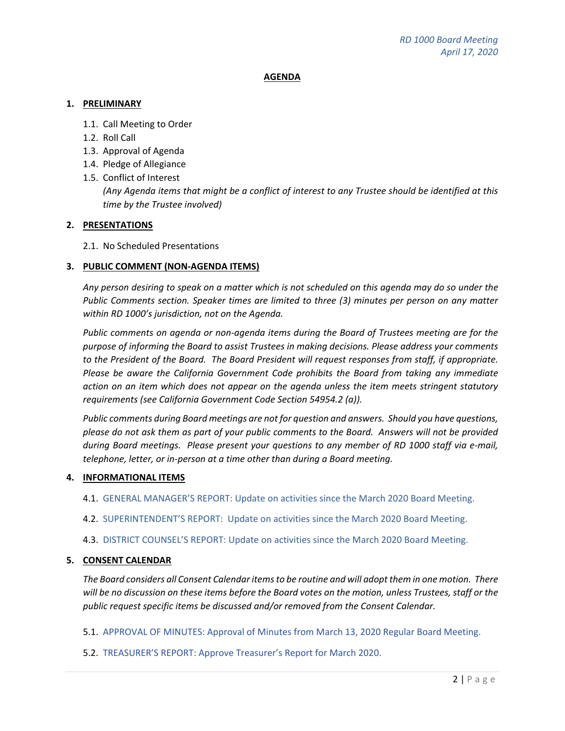#### **AGENDA**

#### **1. PRELIMINARY**

- 1.1. Call Meeting to Order
- 1.2. Roll Call
- 1.3. Approval of Agenda
- 1.4. Pledge of Allegiance
- 1.5. Conflict of Interest *(Any Agenda items that might be a conflict of interest to any Trustee should be identified at this time by the Trustee involved)*

## **2. PRESENTATIONS**

## 2.1. No Scheduled Presentations

## **3. PUBLIC COMMENT (NON-AGENDA ITEMS)**

*Any person desiring to speak on a matter which is not scheduled on this agenda may do so under the Public Comments section. Speaker times are limited to three (3) minutes per person on any matter within RD 1000's jurisdiction, not on the Agenda.*

*Public comments on agenda or non-agenda items during the Board of Trustees meeting are for the purpose of informing the Board to assist Trustees in making decisions. Please address your comments to the President of the Board. The Board President will request responses from staff, if appropriate. Please be aware the California Government Code prohibits the Board from taking any immediate action on an item which does not appear on the agenda unless the item meets stringent statutory requirements (see California Government Code Section 54954.2 (a)).*

*Public comments during Board meetings are not for question and answers. Should you have questions, please do not ask them as part of your public comments to the Board. Answers will not be provided during Board meetings. Please present your questions to any member of RD 1000 staff via e-mail, telephone, letter, or in-person at a time other than during a Board meeting.*

#### **4. INFORMATIONAL ITEMS**

4.1. GENERAL MANAGER'S REPORT: Update on activities since the March 2020 Board Meeting.

- 4.2. SUPERINTENDENT'S REPORT: Update on activities since the March 2020 Board Meeting.
- 4.3. DISTRICT COUNSEL'S REPORT: Update on activities since the March 2020 Board Meeting.

#### **5. CONSENT CALENDAR**

*The Board considers all Consent Calendar items to be routine and will adopt them in one motion. There will be no discussion on these items before the Board votes on the motion, unless Trustees, staff or the public request specific items be discussed and/or removed from the Consent Calendar.*

5.1. APPROVAL OF MINUTES: Approval of Minutes from March 13, 2020 Regular Board Meeting.

#### 5.2. TREASURER'S REPORT: Approve Treasurer's Report for March 2020.